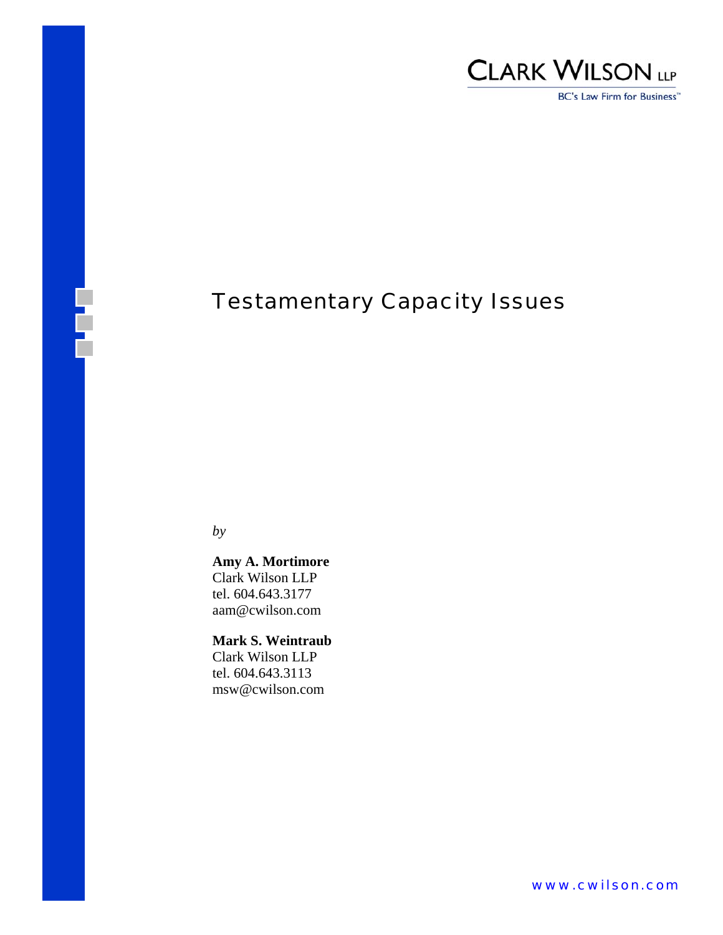

BC's Law Firm for Business<sup>™</sup>

# Testamentary Capacity Issues

*by* 

E

**Amy A. Mortimore** Clark Wilson LLP tel. 604.643.3177 aam@cwilson.com

**Mark S. Weintraub** Clark Wilson LLP tel. 604.643.3113 msw@cwilson.com

www.cwilson.com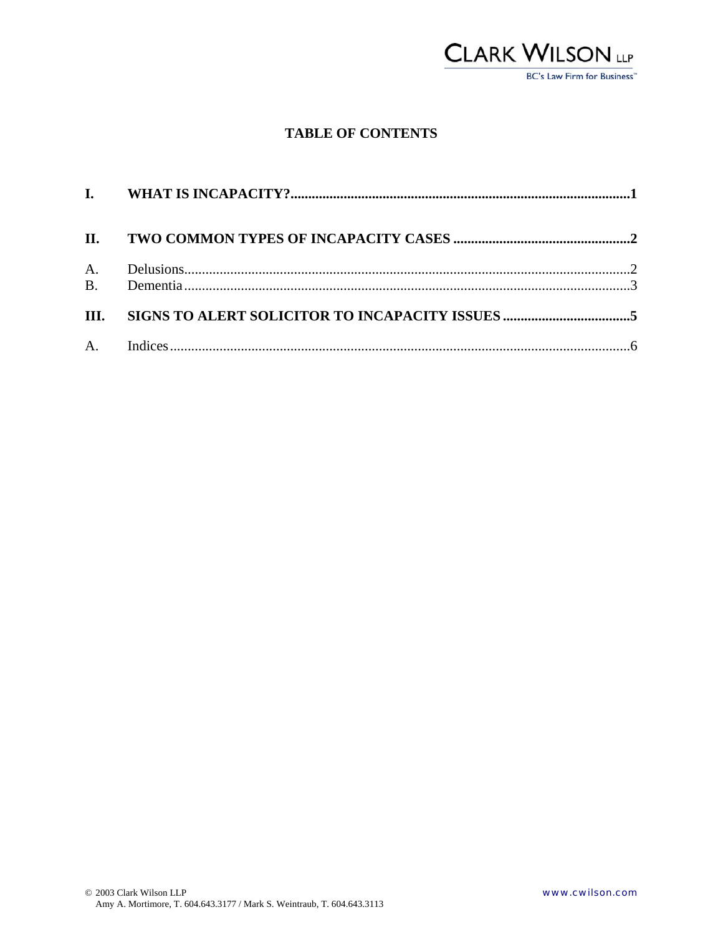

### **TABLE OF CONTENTS**

| II. |  |
|-----|--|
|     |  |
|     |  |
|     |  |
|     |  |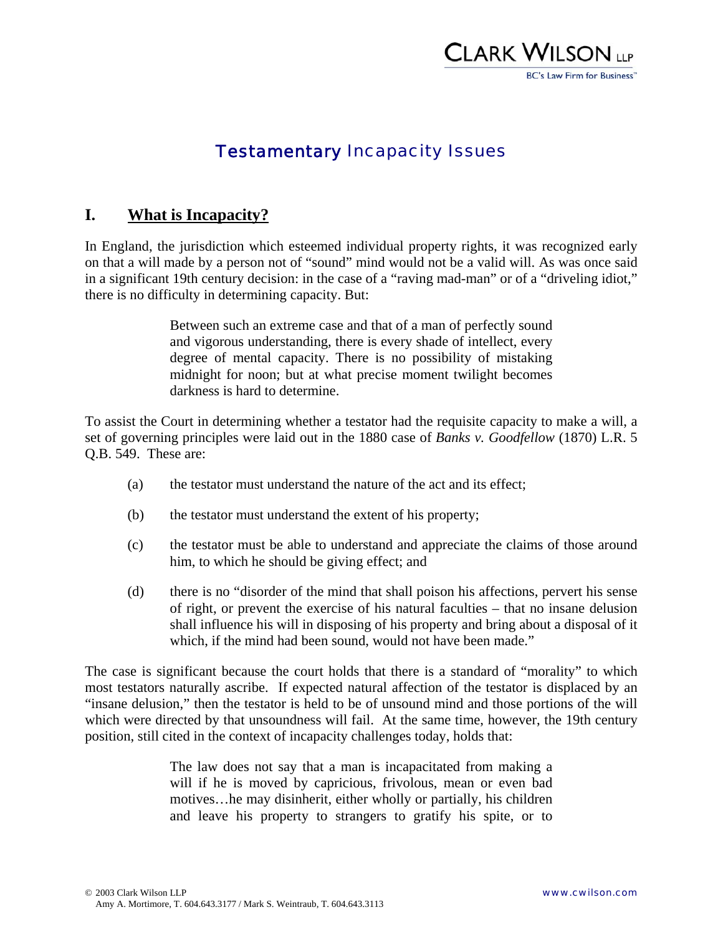

## Testamentary Incapacity Issues

### **I. What is Incapacity?**

In England, the jurisdiction which esteemed individual property rights, it was recognized early on that a will made by a person not of "sound" mind would not be a valid will. As was once said in a significant 19th century decision: in the case of a "raving mad-man" or of a "driveling idiot," there is no difficulty in determining capacity. But:

> Between such an extreme case and that of a man of perfectly sound and vigorous understanding, there is every shade of intellect, every degree of mental capacity. There is no possibility of mistaking midnight for noon; but at what precise moment twilight becomes darkness is hard to determine.

To assist the Court in determining whether a testator had the requisite capacity to make a will, a set of governing principles were laid out in the 1880 case of *Banks v. Goodfellow* (1870) L.R. 5 Q.B. 549. These are:

- (a) the testator must understand the nature of the act and its effect;
- (b) the testator must understand the extent of his property;
- (c) the testator must be able to understand and appreciate the claims of those around him, to which he should be giving effect; and
- (d) there is no "disorder of the mind that shall poison his affections, pervert his sense of right, or prevent the exercise of his natural faculties – that no insane delusion shall influence his will in disposing of his property and bring about a disposal of it which, if the mind had been sound, would not have been made."

The case is significant because the court holds that there is a standard of "morality" to which most testators naturally ascribe. If expected natural affection of the testator is displaced by an "insane delusion," then the testator is held to be of unsound mind and those portions of the will which were directed by that unsoundness will fail. At the same time, however, the 19th century position, still cited in the context of incapacity challenges today, holds that:

> The law does not say that a man is incapacitated from making a will if he is moved by capricious, frivolous, mean or even bad motives…he may disinherit, either wholly or partially, his children and leave his property to strangers to gratify his spite, or to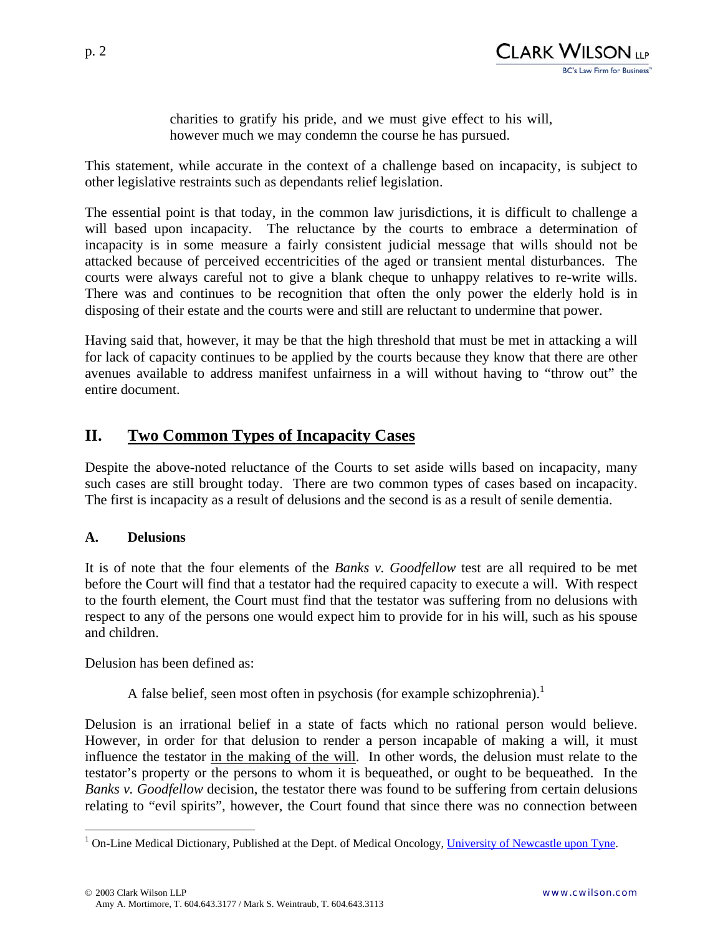

charities to gratify his pride, and we must give effect to his will, however much we may condemn the course he has pursued.

This statement, while accurate in the context of a challenge based on incapacity, is subject to other legislative restraints such as dependants relief legislation.

The essential point is that today, in the common law jurisdictions, it is difficult to challenge a will based upon incapacity. The reluctance by the courts to embrace a determination of incapacity is in some measure a fairly consistent judicial message that wills should not be attacked because of perceived eccentricities of the aged or transient mental disturbances. The courts were always careful not to give a blank cheque to unhappy relatives to re-write wills. There was and continues to be recognition that often the only power the elderly hold is in disposing of their estate and the courts were and still are reluctant to undermine that power.

Having said that, however, it may be that the high threshold that must be met in attacking a will for lack of capacity continues to be applied by the courts because they know that there are other avenues available to address manifest unfairness in a will without having to "throw out" the entire document.

## **II. Two Common Types of Incapacity Cases**

Despite the above-noted reluctance of the Courts to set aside wills based on incapacity, many such cases are still brought today. There are two common types of cases based on incapacity. The first is incapacity as a result of delusions and the second is as a result of senile dementia.

#### **A. Delusions**

 $\overline{a}$ 

It is of note that the four elements of the *Banks v. Goodfellow* test are all required to be met before the Court will find that a testator had the required capacity to execute a will. With respect to the fourth element, the Court must find that the testator was suffering from no delusions with respect to any of the persons one would expect him to provide for in his will, such as his spouse and children.

Delusion has been defined as:

A false belief, seen most often in psychosis (for example schizophrenia).<sup>1</sup>

Delusion is an irrational belief in a state of facts which no rational person would believe. However, in order for that delusion to render a person incapable of making a will, it must influence the testator in the making of the will. In other words, the delusion must relate to the testator's property or the persons to whom it is bequeathed, or ought to be bequeathed. In the *Banks v. Goodfellow* decision, the testator there was found to be suffering from certain delusions relating to "evil spirits", however, the Court found that since there was no connection between

<sup>&</sup>lt;sup>1</sup> On-Line Medical Dictionary, Published at the Dept. of Medical Oncology, University of Newcastle upon Tyne.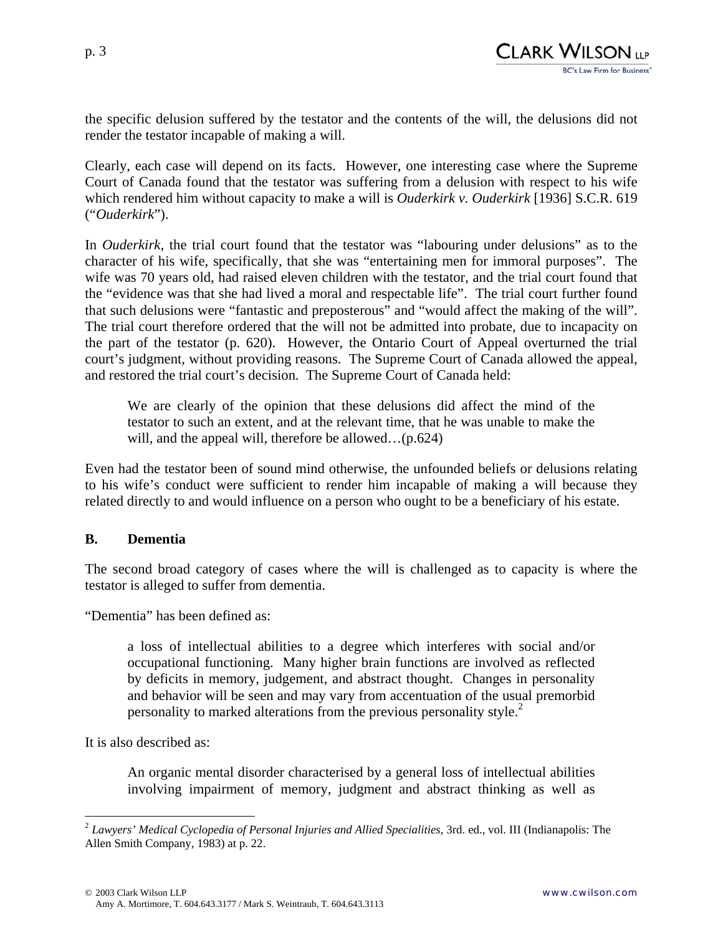the specific delusion suffered by the testator and the contents of the will, the delusions did not render the testator incapable of making a will.

Clearly, each case will depend on its facts. However, one interesting case where the Supreme Court of Canada found that the testator was suffering from a delusion with respect to his wife which rendered him without capacity to make a will is *Ouderkirk v. Ouderkirk* [1936] S.C.R. 619 ("*Ouderkirk*").

In *Ouderkirk*, the trial court found that the testator was "labouring under delusions" as to the character of his wife, specifically, that she was "entertaining men for immoral purposes". The wife was 70 years old, had raised eleven children with the testator, and the trial court found that the "evidence was that she had lived a moral and respectable life". The trial court further found that such delusions were "fantastic and preposterous" and "would affect the making of the will". The trial court therefore ordered that the will not be admitted into probate, due to incapacity on the part of the testator (p. 620). However, the Ontario Court of Appeal overturned the trial court's judgment, without providing reasons. The Supreme Court of Canada allowed the appeal, and restored the trial court's decision. The Supreme Court of Canada held:

We are clearly of the opinion that these delusions did affect the mind of the testator to such an extent, and at the relevant time, that he was unable to make the will, and the appeal will, therefore be allowed...(p.624)

Even had the testator been of sound mind otherwise, the unfounded beliefs or delusions relating to his wife's conduct were sufficient to render him incapable of making a will because they related directly to and would influence on a person who ought to be a beneficiary of his estate.

#### **B. Dementia**

The second broad category of cases where the will is challenged as to capacity is where the testator is alleged to suffer from dementia.

"Dementia" has been defined as:

a loss of intellectual abilities to a degree which interferes with social and/or occupational functioning. Many higher brain functions are involved as reflected by deficits in memory, judgement, and abstract thought. Changes in personality and behavior will be seen and may vary from accentuation of the usual premorbid personality to marked alterations from the previous personality style.<sup>2</sup>

It is also described as:

 $\overline{a}$ 

An organic mental disorder characterised by a general loss of intellectual abilities involving impairment of memory, judgment and abstract thinking as well as

<sup>2</sup> *Lawyers' Medical Cyclopedia of Personal Injuries and Allied Specialities*, 3rd. ed., vol. III (Indianapolis: The Allen Smith Company, 1983) at p. 22.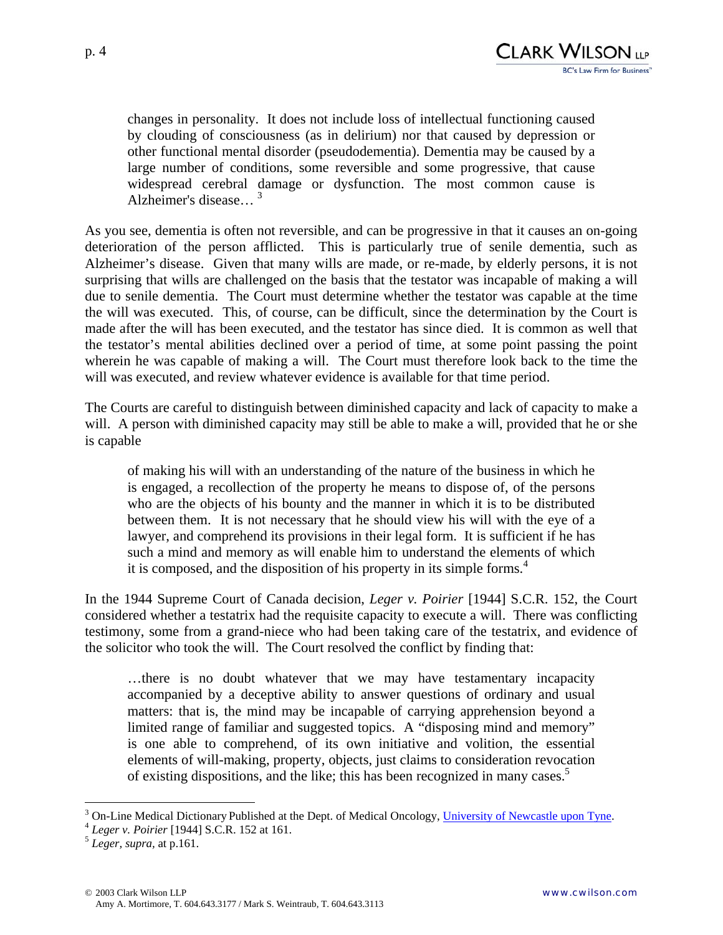

changes in personality. It does not include loss of intellectual functioning caused by clouding of consciousness (as in delirium) nor that caused by depression or other functional mental disorder (pseudodementia). Dementia may be caused by a large number of conditions, some reversible and some progressive, that cause widespread cerebral damage or dysfunction. The most common cause is Alzheimer's disease… 3

As you see, dementia is often not reversible, and can be progressive in that it causes an on-going deterioration of the person afflicted. This is particularly true of senile dementia, such as Alzheimer's disease. Given that many wills are made, or re-made, by elderly persons, it is not surprising that wills are challenged on the basis that the testator was incapable of making a will due to senile dementia. The Court must determine whether the testator was capable at the time the will was executed. This, of course, can be difficult, since the determination by the Court is made after the will has been executed, and the testator has since died. It is common as well that the testator's mental abilities declined over a period of time, at some point passing the point wherein he was capable of making a will. The Court must therefore look back to the time the will was executed, and review whatever evidence is available for that time period.

The Courts are careful to distinguish between diminished capacity and lack of capacity to make a will. A person with diminished capacity may still be able to make a will, provided that he or she is capable

of making his will with an understanding of the nature of the business in which he is engaged, a recollection of the property he means to dispose of, of the persons who are the objects of his bounty and the manner in which it is to be distributed between them. It is not necessary that he should view his will with the eye of a lawyer, and comprehend its provisions in their legal form. It is sufficient if he has such a mind and memory as will enable him to understand the elements of which it is composed, and the disposition of his property in its simple forms.<sup>4</sup>

In the 1944 Supreme Court of Canada decision, *Leger v. Poirier* [1944] S.C.R. 152, the Court considered whether a testatrix had the requisite capacity to execute a will. There was conflicting testimony, some from a grand-niece who had been taking care of the testatrix, and evidence of the solicitor who took the will. The Court resolved the conflict by finding that:

…there is no doubt whatever that we may have testamentary incapacity accompanied by a deceptive ability to answer questions of ordinary and usual matters: that is, the mind may be incapable of carrying apprehension beyond a limited range of familiar and suggested topics. A "disposing mind and memory" is one able to comprehend, of its own initiative and volition, the essential elements of will-making, property, objects, just claims to consideration revocation of existing dispositions, and the like; this has been recognized in many cases.<sup>5</sup>

 $\overline{a}$ 

<sup>&</sup>lt;sup>3</sup> On-Line Medical Dictionary Published at the Dept. of Medical Oncology, <u>University of Newcastle upon Tyne</u>.<br><sup>4</sup> *Leger v. Poirier* [1944] S.C.R. 152 at 161. *5 Leger, supra,* at p.161.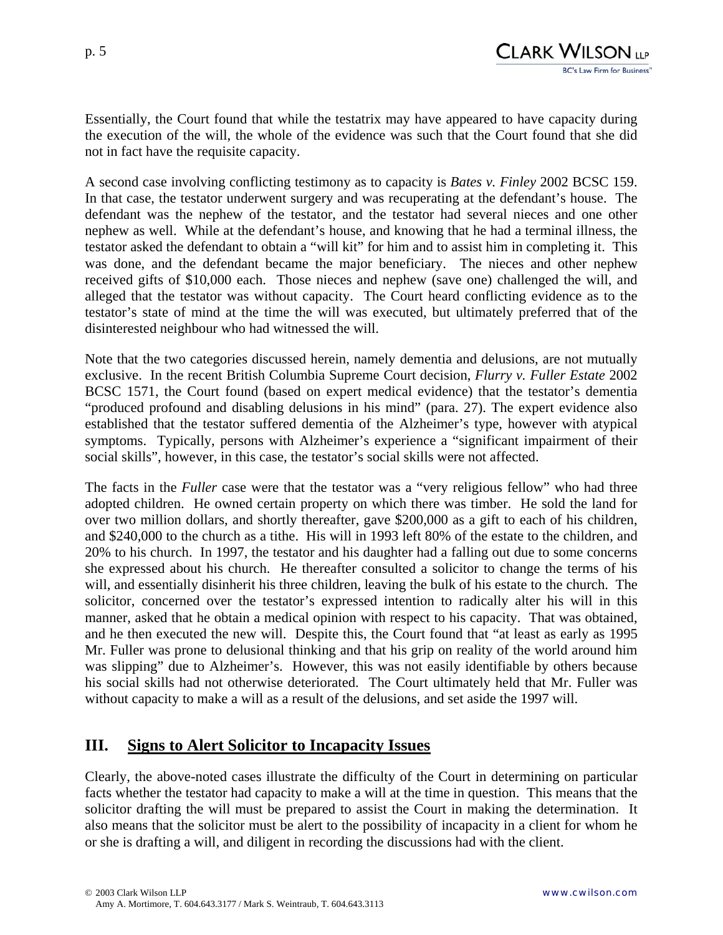

Essentially, the Court found that while the testatrix may have appeared to have capacity during the execution of the will, the whole of the evidence was such that the Court found that she did not in fact have the requisite capacity.

A second case involving conflicting testimony as to capacity is *Bates v. Finley* 2002 BCSC 159. In that case, the testator underwent surgery and was recuperating at the defendant's house. The defendant was the nephew of the testator, and the testator had several nieces and one other nephew as well. While at the defendant's house, and knowing that he had a terminal illness, the testator asked the defendant to obtain a "will kit" for him and to assist him in completing it. This was done, and the defendant became the major beneficiary. The nieces and other nephew received gifts of \$10,000 each. Those nieces and nephew (save one) challenged the will, and alleged that the testator was without capacity. The Court heard conflicting evidence as to the testator's state of mind at the time the will was executed, but ultimately preferred that of the disinterested neighbour who had witnessed the will.

Note that the two categories discussed herein, namely dementia and delusions, are not mutually exclusive. In the recent British Columbia Supreme Court decision, *Flurry v. Fuller Estate* 2002 BCSC 1571, the Court found (based on expert medical evidence) that the testator's dementia "produced profound and disabling delusions in his mind" (para. 27). The expert evidence also established that the testator suffered dementia of the Alzheimer's type, however with atypical symptoms. Typically, persons with Alzheimer's experience a "significant impairment of their social skills", however, in this case, the testator's social skills were not affected.

The facts in the *Fuller* case were that the testator was a "very religious fellow" who had three adopted children. He owned certain property on which there was timber. He sold the land for over two million dollars, and shortly thereafter, gave \$200,000 as a gift to each of his children, and \$240,000 to the church as a tithe. His will in 1993 left 80% of the estate to the children, and 20% to his church. In 1997, the testator and his daughter had a falling out due to some concerns she expressed about his church. He thereafter consulted a solicitor to change the terms of his will, and essentially disinherit his three children, leaving the bulk of his estate to the church. The solicitor, concerned over the testator's expressed intention to radically alter his will in this manner, asked that he obtain a medical opinion with respect to his capacity. That was obtained, and he then executed the new will. Despite this, the Court found that "at least as early as 1995 Mr. Fuller was prone to delusional thinking and that his grip on reality of the world around him was slipping" due to Alzheimer's. However, this was not easily identifiable by others because his social skills had not otherwise deteriorated. The Court ultimately held that Mr. Fuller was without capacity to make a will as a result of the delusions, and set aside the 1997 will.

## **III. Signs to Alert Solicitor to Incapacity Issues**

Clearly, the above-noted cases illustrate the difficulty of the Court in determining on particular facts whether the testator had capacity to make a will at the time in question. This means that the solicitor drafting the will must be prepared to assist the Court in making the determination. It also means that the solicitor must be alert to the possibility of incapacity in a client for whom he or she is drafting a will, and diligent in recording the discussions had with the client.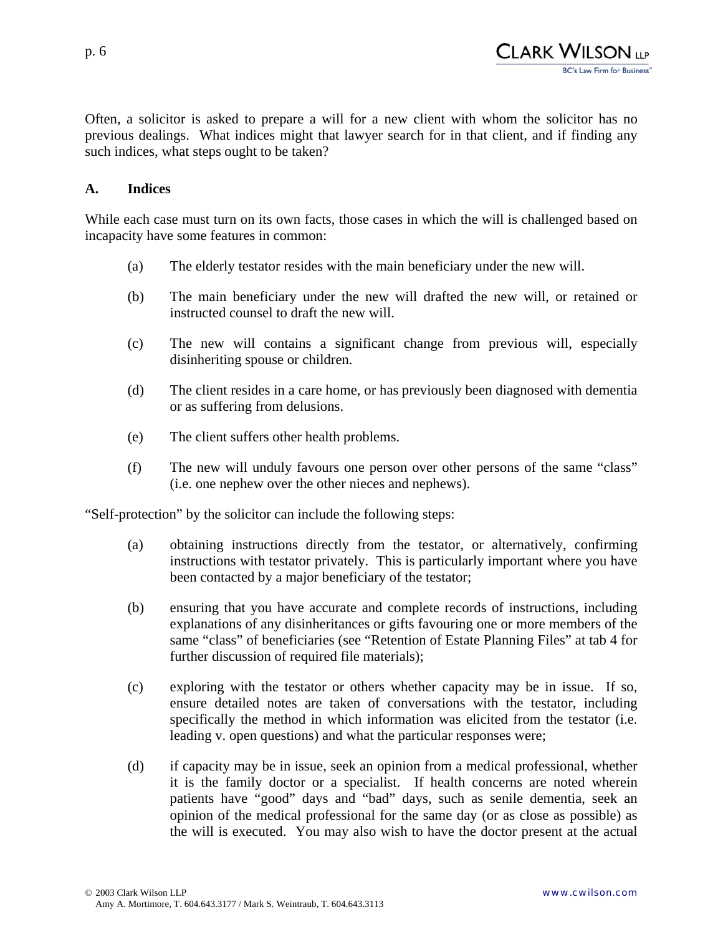

Often, a solicitor is asked to prepare a will for a new client with whom the solicitor has no previous dealings. What indices might that lawyer search for in that client, and if finding any such indices, what steps ought to be taken?

#### **A. Indices**

While each case must turn on its own facts, those cases in which the will is challenged based on incapacity have some features in common:

- (a) The elderly testator resides with the main beneficiary under the new will.
- (b) The main beneficiary under the new will drafted the new will, or retained or instructed counsel to draft the new will.
- (c) The new will contains a significant change from previous will, especially disinheriting spouse or children.
- (d) The client resides in a care home, or has previously been diagnosed with dementia or as suffering from delusions.
- (e) The client suffers other health problems.
- (f) The new will unduly favours one person over other persons of the same "class" (i.e. one nephew over the other nieces and nephews).

"Self-protection" by the solicitor can include the following steps:

- (a) obtaining instructions directly from the testator, or alternatively, confirming instructions with testator privately. This is particularly important where you have been contacted by a major beneficiary of the testator;
- (b) ensuring that you have accurate and complete records of instructions, including explanations of any disinheritances or gifts favouring one or more members of the same "class" of beneficiaries (see "Retention of Estate Planning Files" at tab 4 for further discussion of required file materials);
- (c) exploring with the testator or others whether capacity may be in issue. If so, ensure detailed notes are taken of conversations with the testator, including specifically the method in which information was elicited from the testator (i.e. leading v. open questions) and what the particular responses were;
- (d) if capacity may be in issue, seek an opinion from a medical professional, whether it is the family doctor or a specialist. If health concerns are noted wherein patients have "good" days and "bad" days, such as senile dementia, seek an opinion of the medical professional for the same day (or as close as possible) as the will is executed. You may also wish to have the doctor present at the actual